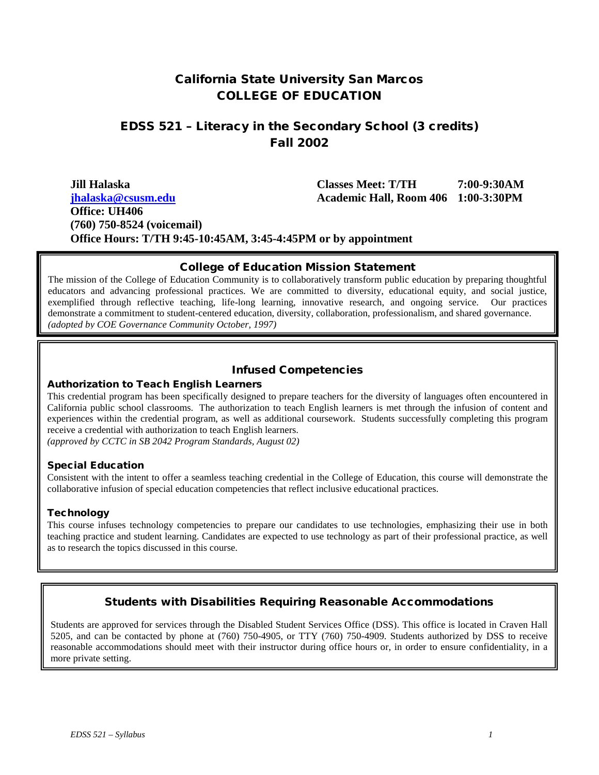## California State University San Marcos COLLEGE OF EDUCATION

## EDSS 521 – Literacy in the Secondary School (3 credits) Fall 2002

| Jill Halaska                                                   | <b>Classes Meet: T/TH</b>                  | 7:00-9:30AM |
|----------------------------------------------------------------|--------------------------------------------|-------------|
| ihalaska@csusm.edu                                             | <b>Academic Hall, Room 406 1:00-3:30PM</b> |             |
| Office: UH406                                                  |                                            |             |
| $(760)$ 750-8524 (voicemail)                                   |                                            |             |
| Office Hours: T/TH 9:45-10:45AM, 3:45-4:45PM or by appointment |                                            |             |

#### College of Education Mission Statement

The mission of the College of Education Community is to collaboratively transform public education by preparing thoughtful educators and advancing professional practices. We are committed to diversity, educational equity, and social justice, exemplified through reflective teaching, life-long learning, innovative research, and ongoing service. Our practices demonstrate a commitment to student-centered education, diversity, collaboration, professionalism, and shared governance. *(adopted by COE Governance Community October, 1997)*

### Infused Competencies

#### Authorization to Teach English Learners

This credential program has been specifically designed to prepare teachers for the diversity of languages often encountered in California public school classrooms. The authorization to teach English learners is met through the infusion of content and experiences within the credential program, as well as additional coursework. Students successfully completing this program receive a credential with authorization to teach English learners.

*(approved by CCTC in SB 2042 Program Standards, August 02)* 

#### Special Education

Consistent with the intent to offer a seamless teaching credential in the College of Education, this course will demonstrate the collaborative infusion of special education competencies that reflect inclusive educational practices.

#### **Technology**

This course infuses technology competencies to prepare our candidates to use technologies, emphasizing their use in both teaching practice and student learning. Candidates are expected to use technology as part of their professional practice, as well as to research the topics discussed in this course.

## Students with Disabilities Requiring Reasonable Accommodations

Students are approved for services through the Disabled Student Services Office (DSS). This office is located in Craven Hall 5205, and can be contacted by phone at (760) 750-4905, or TTY (760) 750-4909. Students authorized by DSS to receive reasonable accommodations should meet with their instructor during office hours or, in order to ensure confidentiality, in a more private setting.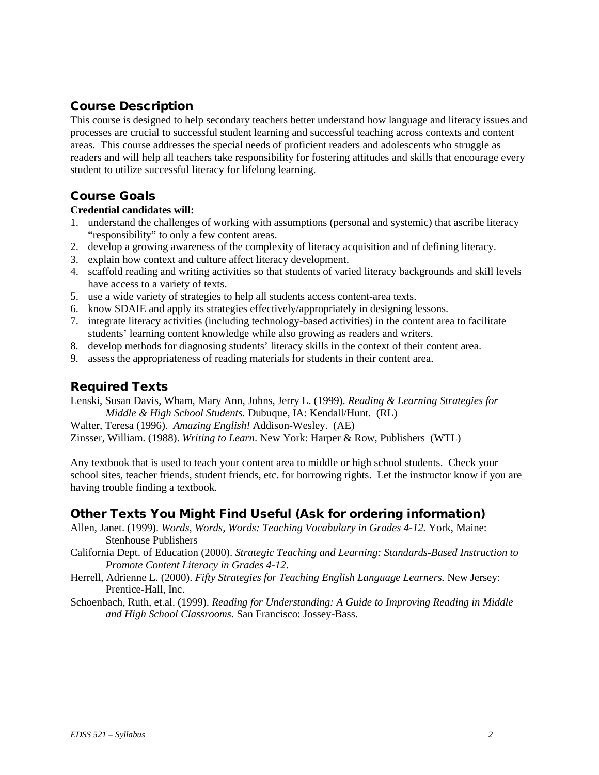## Course Description

This course is designed to help secondary teachers better understand how language and literacy issues and processes are crucial to successful student learning and successful teaching across contexts and content areas. This course addresses the special needs of proficient readers and adolescents who struggle as readers and will help all teachers take responsibility for fostering attitudes and skills that encourage every student to utilize successful literacy for lifelong learning.

## Course Goals

#### **Credential candidates will:**

- 1. understand the challenges of working with assumptions (personal and systemic) that ascribe literacy "responsibility" to only a few content areas.
- 2. develop a growing awareness of the complexity of literacy acquisition and of defining literacy.
- 3. explain how context and culture affect literacy development.
- 4. scaffold reading and writing activities so that students of varied literacy backgrounds and skill levels have access to a variety of texts.
- 5. use a wide variety of strategies to help all students access content-area texts.
- 6. know SDAIE and apply its strategies effectively/appropriately in designing lessons.
- 7. integrate literacy activities (including technology-based activities) in the content area to facilitate students' learning content knowledge while also growing as readers and writers.
- 8. develop methods for diagnosing students' literacy skills in the context of their content area.
- 9. assess the appropriateness of reading materials for students in their content area.

## Required Texts

Lenski, Susan Davis, Wham, Mary Ann, Johns, Jerry L. (1999). *Reading & Learning Strategies for Middle & High School Students.* Dubuque, IA: Kendall/Hunt. (RL)

Walter, Teresa (1996). *Amazing English!* Addison-Wesley. (AE)

Zinsser, William. (1988). *Writing to Learn*. New York: Harper & Row, Publishers (WTL)

Any textbook that is used to teach your content area to middle or high school students. Check your school sites, teacher friends, student friends, etc. for borrowing rights. Let the instructor know if you are having trouble finding a textbook.

## Other Texts You Might Find Useful (Ask for ordering information)

- Allen, Janet. (1999). *Words, Words, Words: Teaching Vocabulary in Grades 4-12.* York, Maine: Stenhouse Publishers
- California Dept. of Education (2000). *Strategic Teaching and Learning: Standards-Based Instruction to Promote Content Literacy in Grades 4-12*.
- Herrell, Adrienne L. (2000). *Fifty Strategies for Teaching English Language Learners.* New Jersey: Prentice-Hall, Inc.

Schoenbach, Ruth, et.al. (1999). *Reading for Understanding: A Guide to Improving Reading in Middle and High School Classrooms.* San Francisco: Jossey-Bass.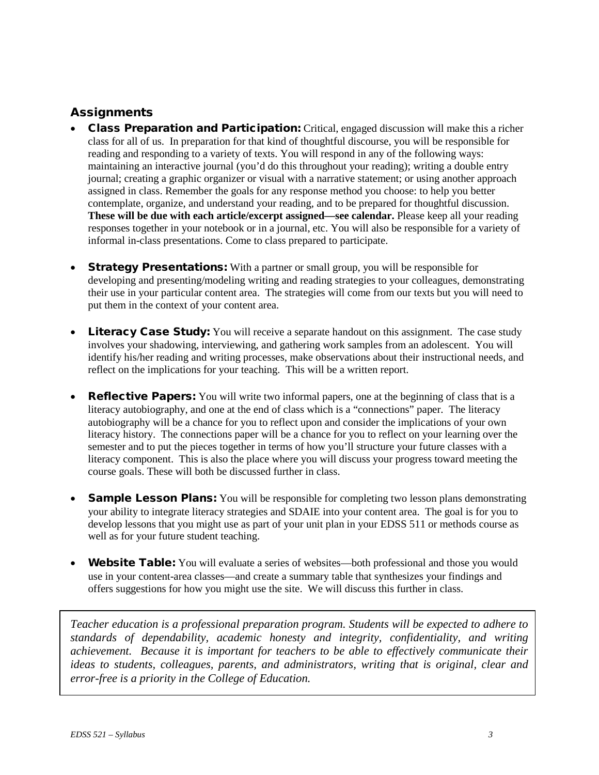## **Assignments**

- Class Preparation and Participation: Critical, engaged discussion will make this a richer class for all of us. In preparation for that kind of thoughtful discourse, you will be responsible for reading and responding to a variety of texts. You will respond in any of the following ways: maintaining an interactive journal (you'd do this throughout your reading); writing a double entry journal; creating a graphic organizer or visual with a narrative statement; or using another approach assigned in class. Remember the goals for any response method you choose: to help you better contemplate, organize, and understand your reading, and to be prepared for thoughtful discussion. **These will be due with each article/excerpt assigned—see calendar.** Please keep all your reading responses together in your notebook or in a journal, etc. You will also be responsible for a variety of informal in-class presentations. Come to class prepared to participate.
- **Strategy Presentations:** With a partner or small group, you will be responsible for developing and presenting/modeling writing and reading strategies to your colleagues, demonstrating their use in your particular content area. The strategies will come from our texts but you will need to put them in the context of your content area.
- Literacy Case Study: You will receive a separate handout on this assignment. The case study involves your shadowing, interviewing, and gathering work samples from an adolescent. You will identify his/her reading and writing processes, make observations about their instructional needs, and reflect on the implications for your teaching. This will be a written report.
- **Reflective Papers:** You will write two informal papers, one at the beginning of class that is a literacy autobiography, and one at the end of class which is a "connections" paper. The literacy autobiography will be a chance for you to reflect upon and consider the implications of your own literacy history. The connections paper will be a chance for you to reflect on your learning over the semester and to put the pieces together in terms of how you'll structure your future classes with a literacy component. This is also the place where you will discuss your progress toward meeting the course goals. These will both be discussed further in class.
- **Sample Lesson Plans:** You will be responsible for completing two lesson plans demonstrating your ability to integrate literacy strategies and SDAIE into your content area. The goal is for you to develop lessons that you might use as part of your unit plan in your EDSS 511 or methods course as well as for your future student teaching.
- **Website Table:** You will evaluate a series of websites—both professional and those you would use in your content-area classes—and create a summary table that synthesizes your findings and offers suggestions for how you might use the site. We will discuss this further in class.

*Teacher education is a professional preparation program. Students will be expected to adhere to standards of dependability, academic honesty and integrity, confidentiality, and writing achievement. Because it is important for teachers to be able to effectively communicate their ideas to students, colleagues, parents, and administrators, writing that is original, clear and error-free is a priority in the College of Education.*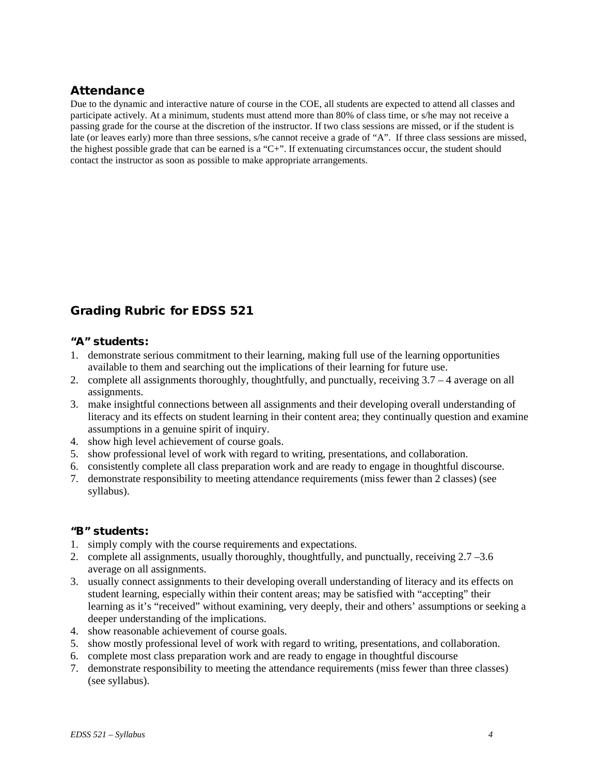## Attendance

Due to the dynamic and interactive nature of course in the COE, all students are expected to attend all classes and participate actively. At a minimum, students must attend more than 80% of class time, or s/he may not receive a passing grade for the course at the discretion of the instructor. If two class sessions are missed, or if the student is late (or leaves early) more than three sessions, s/he cannot receive a grade of "A". If three class sessions are missed, the highest possible grade that can be earned is a "C+". If extenuating circumstances occur, the student should contact the instructor as soon as possible to make appropriate arrangements.

## Grading Rubric for EDSS 521

### "A" students:

- 1. demonstrate serious commitment to their learning, making full use of the learning opportunities available to them and searching out the implications of their learning for future use.
- 2. complete all assignments thoroughly, thoughtfully, and punctually, receiving 3.7 4 average on all assignments.
- 3. make insightful connections between all assignments and their developing overall understanding of literacy and its effects on student learning in their content area; they continually question and examine assumptions in a genuine spirit of inquiry.
- 4. show high level achievement of course goals.
- 5. show professional level of work with regard to writing, presentations, and collaboration.
- 6. consistently complete all class preparation work and are ready to engage in thoughtful discourse.
- 7. demonstrate responsibility to meeting attendance requirements (miss fewer than 2 classes) (see syllabus).

## "B" students:

- 1. simply comply with the course requirements and expectations.
- 2. complete all assignments, usually thoroughly, thoughtfully, and punctually, receiving 2.7 –3.6 average on all assignments.
- 3. usually connect assignments to their developing overall understanding of literacy and its effects on student learning, especially within their content areas; may be satisfied with "accepting" their learning as it's "received" without examining, very deeply, their and others' assumptions or seeking a deeper understanding of the implications.
- 4. show reasonable achievement of course goals.
- 5. show mostly professional level of work with regard to writing, presentations, and collaboration.
- 6. complete most class preparation work and are ready to engage in thoughtful discourse
- 7. demonstrate responsibility to meeting the attendance requirements (miss fewer than three classes) (see syllabus).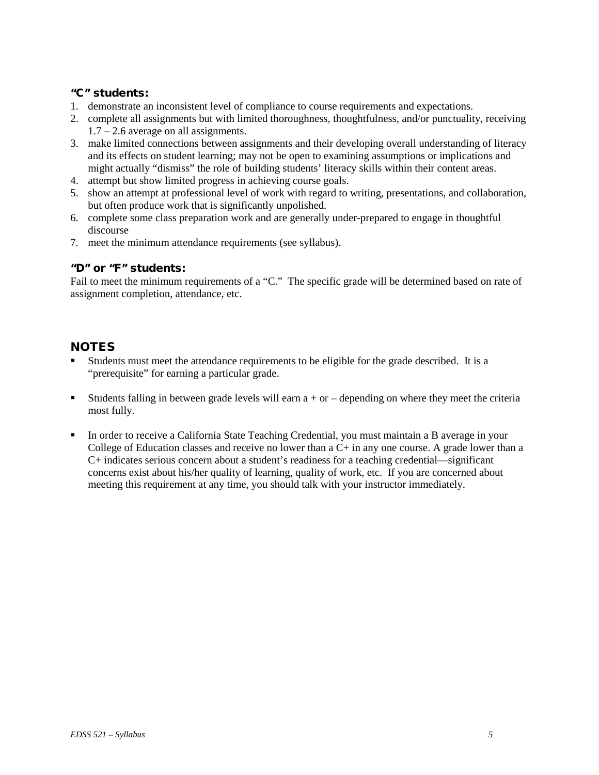### "C" students:

- 1. demonstrate an inconsistent level of compliance to course requirements and expectations.
- 2. complete all assignments but with limited thoroughness, thoughtfulness, and/or punctuality, receiving 1.7 – 2.6 average on all assignments.
- 3. make limited connections between assignments and their developing overall understanding of literacy and its effects on student learning; may not be open to examining assumptions or implications and might actually "dismiss" the role of building students' literacy skills within their content areas.
- 4. attempt but show limited progress in achieving course goals.
- 5. show an attempt at professional level of work with regard to writing, presentations, and collaboration, but often produce work that is significantly unpolished.
- 6. complete some class preparation work and are generally under-prepared to engage in thoughtful discourse
- 7. meet the minimum attendance requirements (see syllabus).

### "D" or "F" students:

Fail to meet the minimum requirements of a "C." The specific grade will be determined based on rate of assignment completion, attendance, etc.

## **NOTES**

- Students must meet the attendance requirements to be eligible for the grade described. It is a "prerequisite" for earning a particular grade.
- Students falling in between grade levels will earn  $a + or -$  depending on where they meet the criteria most fully.
- In order to receive a California State Teaching Credential, you must maintain a B average in your College of Education classes and receive no lower than a  $C<sub>+</sub>$  in any one course. A grade lower than a C+ indicates serious concern about a student's readiness for a teaching credential—significant concerns exist about his/her quality of learning, quality of work, etc. If you are concerned about meeting this requirement at any time, you should talk with your instructor immediately.